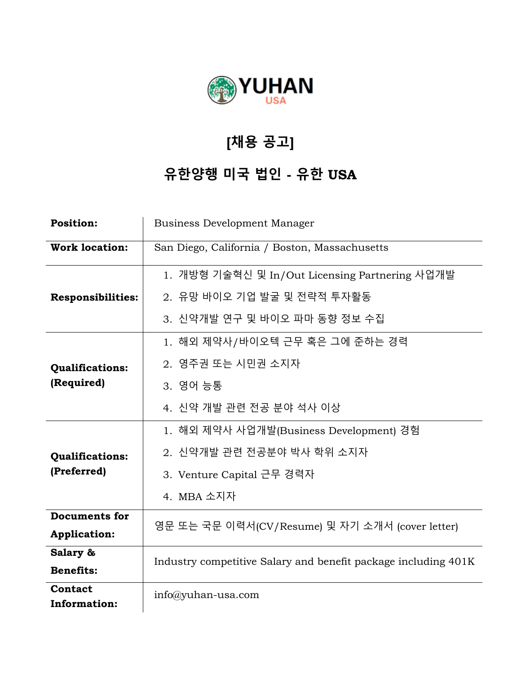

## **[채용 공고]**

## **유한양행 미국 법인 - 유한 USA**

| <b>Position:</b>               | <b>Business Development Manager</b>                            |
|--------------------------------|----------------------------------------------------------------|
| <b>Work location:</b>          | San Diego, California / Boston, Massachusetts                  |
| <b>Responsibilities:</b>       | 1. 개방형 기술혁신 및 In/Out Licensing Partnering 사업개발                 |
|                                | 2. 유망 바이오 기업 발굴 및 전략적 투자활동                                     |
|                                | 3. 신약개발 연구 및 바이오 파마 동향 정보 수집                                   |
| Qualifications:<br>(Required)  | 1. 해외 제약사/바이오텍 근무 혹은 그에 준하는 경력                                 |
|                                | 2. 영주권 또는 시민권 소지자                                              |
|                                | 3. 영어 능통                                                       |
|                                | 4. 신약 개발 관련 전공 분야 석사 이상                                        |
| Qualifications:<br>(Preferred) | 1. 해외 제약사 사업개발(Business Development) 경험                        |
|                                | 2. 신약개발 관련 전공분야 박사 학위 소지자                                      |
|                                | 3. Venture Capital 근무 경력자                                      |
|                                | 4. MBA 소지자                                                     |
| <b>Documents for</b>           | 영문 또는 국문 이력서(CV/Resume) 및 자기 소개서 (cover letter)                |
| <b>Application:</b>            |                                                                |
| Salary &                       | Industry competitive Salary and benefit package including 401K |
| <b>Benefits:</b>               |                                                                |
| Contact<br>Information:        | $info(\hat{a})$ yuhan-usa.com                                  |